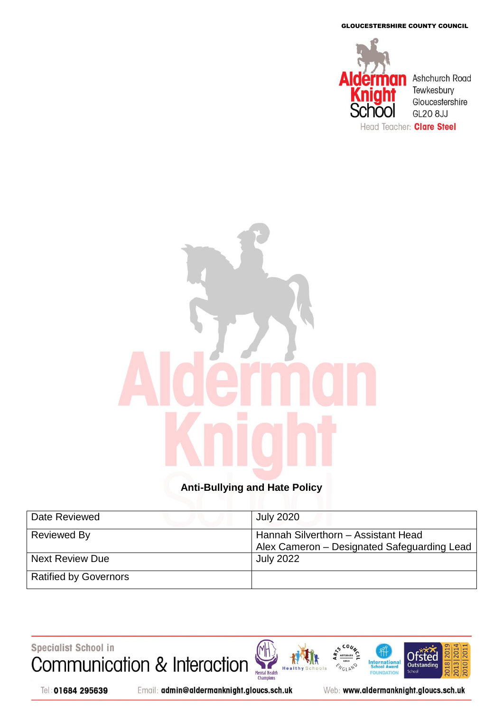GLOUCESTERSHIRE COUNTY COUNCIL



# **Anti-Bullying and Hate Policy**

| Date Reviewed                | <b>July 2020</b>                                                                   |
|------------------------------|------------------------------------------------------------------------------------|
| Reviewed By                  | Hannah Silverthorn - Assistant Head<br>Alex Cameron - Designated Safeguarding Lead |
| <b>Next Review Due</b>       | <b>July 2022</b>                                                                   |
| <b>Ratified by Governors</b> |                                                                                    |

Specialist School in

Communication & Interaction Mental Health<br>Champions H<sub>e</sub>

Tel: 01684 295639

Email: admin@aldermanknight.gloucs.sch.uk

Web: www.aldermanknight.gloucs.sch.uk

**International**<br>School Award

FOU **DATION** 

NGLAND

**201** 

2018

**Ofsted** 

Outstand

**School** 

020 20

2013|20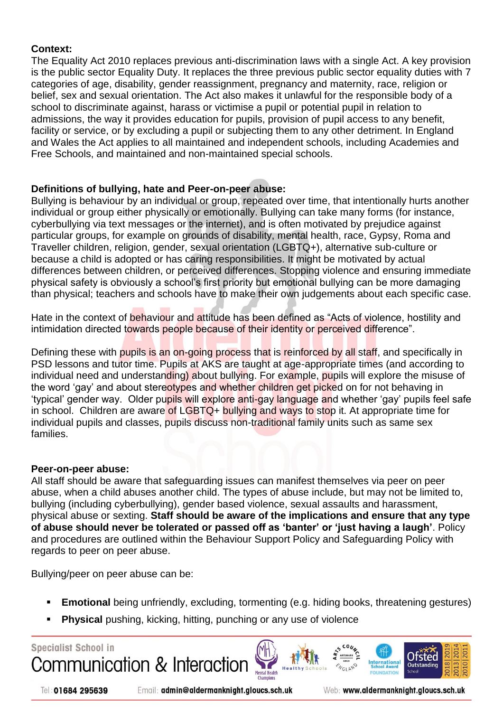### **Context:**

The Equality Act 2010 replaces previous anti-discrimination laws with a single Act. A key provision is the public sector Equality Duty. It replaces the three previous public sector equality duties with 7 categories of age, disability, gender reassignment, pregnancy and maternity, race, religion or belief, sex and sexual orientation. The Act also makes it unlawful for the responsible body of a school to discriminate against, harass or victimise a pupil or potential pupil in relation to admissions, the way it provides education for pupils, provision of pupil access to any benefit, facility or service, or by excluding a pupil or subjecting them to any other detriment. In England and Wales the Act applies to all maintained and independent schools, including Academies and Free Schools, and maintained and non-maintained special schools.

# **Definitions of bullying, hate and Peer-on-peer abuse:**

Bullying is behaviour by an individual or group, repeated over time, that intentionally hurts another individual or group either physically or emotionally. Bullying can take many forms (for instance, cyberbullying via text messages or the internet), and is often motivated by prejudice against particular groups, for example on grounds of disability, mental health, race, Gypsy, Roma and Traveller children, religion, gender, sexual orientation (LGBTQ+), alternative sub-culture or because a child is adopted or has caring responsibilities. It might be motivated by actual differences between children, or perceived differences. Stopping violence and ensuring immediate physical safety is obviously a school's first priority but emotional bullying can be more damaging than physical; teachers and schools have to make their own judgements about each specific case.

Hate in the context of behaviour and attitude has been defined as "Acts of violence, hostility and intimidation directed towards people because of their identity or perceived difference".

Defining these with pupils is an on-going process that is reinforced by all staff, and specifically in PSD lessons and tutor time. Pupils at AKS are taught at age-appropriate times (and according to individual need and understanding) about bullying. For example, pupils will explore the misuse of the word 'gay' and about stereotypes and whether children get picked on for not behaving in 'typical' gender way. Older pupils will explore anti-gay language and whether 'gay' pupils feel safe in school. Children are aware of LGBTQ+ bullying and ways to stop it. At appropriate time for individual pupils and classes, pupils discuss non-traditional family units such as same sex families.

### **Peer-on-peer abuse:**

All staff should be aware that safeguarding issues can manifest themselves via peer on peer abuse, when a child abuses another child. The types of abuse include, but may not be limited to, bullying (including cyberbullying), gender based violence, sexual assaults and harassment, physical abuse or sexting. **Staff should be aware of the implications and ensure that any type of abuse should never be tolerated or passed off as 'banter' or 'just having a laugh'**. Policy and procedures are outlined within the Behaviour Support Policy and Safeguarding Policy with regards to peer on peer abuse.

Bullying/peer on peer abuse can be:

- **Emotional** being unfriendly, excluding, tormenting (e.g. hiding books, threatening gestures)
- **Physical** pushing, kicking, hitting, punching or any use of violence



Tel: 01684 295639

Email: admin@aldermanknight.gloucs.sch.uk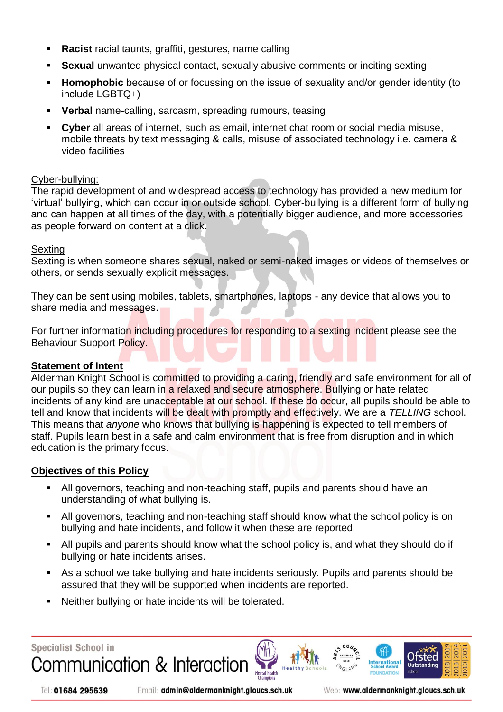- **Racist** racial taunts, graffiti, gestures, name calling
- **Sexual** unwanted physical contact, sexually abusive comments or inciting sexting
- **Homophobic** because of or focussing on the issue of sexuality and/or gender identity (to include LGBTQ+)
- **Verbal** name-calling, sarcasm, spreading rumours, teasing
- **Cyber** all areas of internet, such as email, internet chat room or social media misuse, mobile threats by text messaging & calls, misuse of associated technology i.e. camera & video facilities

### Cyber-bullying:

The rapid development of and widespread access to technology has provided a new medium for 'virtual' bullying, which can occur in or outside school. Cyber-bullying is a different form of bullying and can happen at all times of the day, with a potentially bigger audience, and more accessories as people forward on content at a click.

### **Sexting**

Sexting is when someone shares sexual, naked or semi-naked images or videos of themselves or others, or sends sexually explicit messages.

They can be sent using mobiles, tablets, smartphones, laptops - any device that allows you to share media and messages.

For further information including procedures for responding to a sexting incident please see the Behaviour Support Policy.

### **Statement of Intent**

Alderman Knight School is committed to providing a caring, friendly and safe environment for all of our pupils so they can learn in a relaxed and secure atmosphere. Bullying or hate related incidents of any kind are unacceptable at our school. If these do occur, all pupils should be able to tell and know that incidents will be dealt with promptly and effectively. We are a *TELLING* school. This means that *anyone* who knows that bullying is happening is expected to tell members of staff. Pupils learn best in a safe and calm environment that is free from disruption and in which education is the primary focus.

# **Objectives of this Policy**

- All governors, teaching and non-teaching staff, pupils and parents should have an understanding of what bullying is.
- All governors, teaching and non-teaching staff should know what the school policy is on bullying and hate incidents, and follow it when these are reported.
- All pupils and parents should know what the school policy is, and what they should do if bullying or hate incidents arises.
- As a school we take bullying and hate incidents seriously. Pupils and parents should be assured that they will be supported when incidents are reported.

**Mental Health** 

Neither bullying or hate incidents will be tolerated.

**Specialist School in** Communication & Interaction

Tel: 01684 295639

Email: admin@aldermanknight.gloucs.sch.uk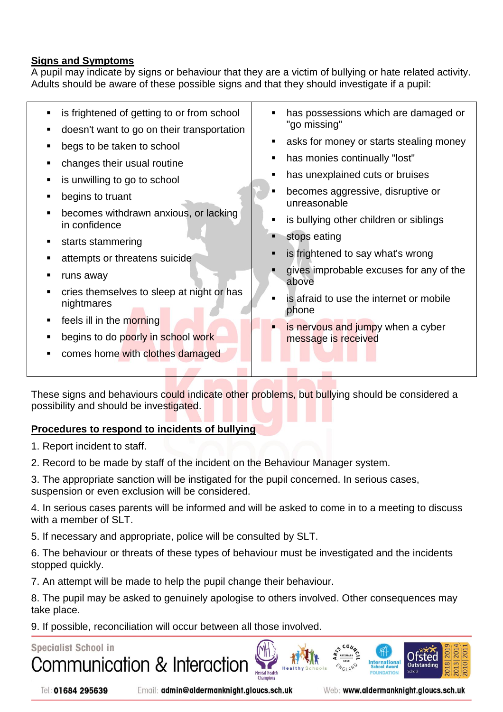# **Signs and Symptoms**

A pupil may indicate by signs or behaviour that they are a victim of bullying or hate related activity. Adults should be aware of these possible signs and that they should investigate if a pupil:

| is frightened of getting to or from school<br>doesn't want to go on their transportation<br>begs to be taken to school<br>changes their usual routine<br>is unwilling to go to school<br>begins to truant<br>becomes withdrawn anxious, or lacking<br>in confidence<br>starts stammering<br>attempts or threatens suicide<br>runs away<br>cries themselves to sleep at night or has<br>nightmares<br>feels ill in the morning<br>begins to do poorly in school work<br>comes home with clothes damaged | has possessions which are damaged or<br>"go missing"<br>asks for money or starts stealing money<br>has monies continually "lost"<br>has unexplained cuts or bruises<br>becomes aggressive, disruptive or<br>unreasonable<br>is bullying other children or siblings<br>stops eating<br>is frightened to say what's wrong<br>gives improbable excuses for any of the<br>above<br>is afraid to use the internet or mobile<br>phone<br>is nervous and jumpy when a cyber<br>message is received |
|--------------------------------------------------------------------------------------------------------------------------------------------------------------------------------------------------------------------------------------------------------------------------------------------------------------------------------------------------------------------------------------------------------------------------------------------------------------------------------------------------------|---------------------------------------------------------------------------------------------------------------------------------------------------------------------------------------------------------------------------------------------------------------------------------------------------------------------------------------------------------------------------------------------------------------------------------------------------------------------------------------------|
|                                                                                                                                                                                                                                                                                                                                                                                                                                                                                                        |                                                                                                                                                                                                                                                                                                                                                                                                                                                                                             |

These signs and behaviours could indicate other problems, but bullying should be considered a possibility and should be investigated.

# **Procedures to respond to incidents of bullying**

1. Report incident to staff.

2. Record to be made by staff of the incident on the Behaviour Manager system.

3. The appropriate sanction will be instigated for the pupil concerned. In serious cases, suspension or even exclusion will be considered.

4. In serious cases parents will be informed and will be asked to come in to a meeting to discuss with a member of SLT.

5. If necessary and appropriate, police will be consulted by SLT.

6. The behaviour or threats of these types of behaviour must be investigated and the incidents stopped quickly.

7. An attempt will be made to help the pupil change their behaviour.

8. The pupil may be asked to genuinely apologise to others involved. Other consequences may take place.

**Mental Health** 

9. If possible, reconciliation will occur between all those involved.

# **Specialist School in**



Tel: 01684 295639

Email: admin@aldermanknight.gloucs.sch.uk